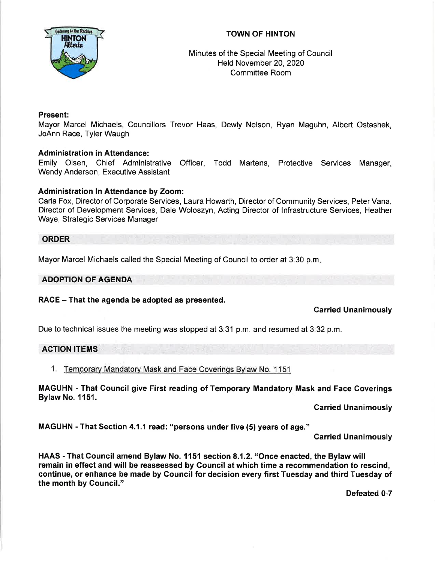

# TOWN OF HINTON

## Minutes of the Special Meeting of Council Held November 20,2O20 Committee Room

## Present:

Mayor Marcel Michaels, Councillors Trevor Haas, Dewly Nelson, Ryan Maguhn, Albert Ostashek, JoAnn Race, Tyler Waugh

### Administration in Attendance:

Emily Olsen, Chief Administrative Officer, Todd Martens, Protective Services Manager, Wendy Anderson, Executive Assistant

#### Administration ln Attendance by Zoom:

Carla Fox, Director of Corporate Services, Laura Howarth, Director of Community Services, Peter Vana, Director of Development Services, Dale Woloszyn, Acting Director of lnfrastructure Services, Heather Waye, Strategic Services Manager

#### ORDER

Mayor Marcel Michaels called the Special Meeting of Council to order at 3:30 p.m

#### ADOPTION OF AGENDA

### RACE - That the agenda be adopted as presented.

#### Garried Unanimously

Due to technical issues the meeting was stopped at 3:31 p.m. and resumed at 3:32 p.m.

### ACTION ITEMS

1. Temporary Mandatorv Mask and Face Coverings Bvlaw No. 1 <sup>151</sup>

MAGUHN - That Council give First reading of Temporary Mandatory Mask and Face Coverings Bylaw No. 1151.

Garried Unanimously

MAGUHN - That Section 4.1.1 read: "persons under five (5) years of age."

Garried Unanimously

HAAS - That Gouncil amend Bylaw No. 1151 section 8.1.2. "Once enacted, the Bylaw will remain in effect and will be reassessed by Council at which time a recommendation to rescind, continue, or enhance be made by Council for decision every first Tuesday and third Tuesday of the month by Council."

Defeated 0-7